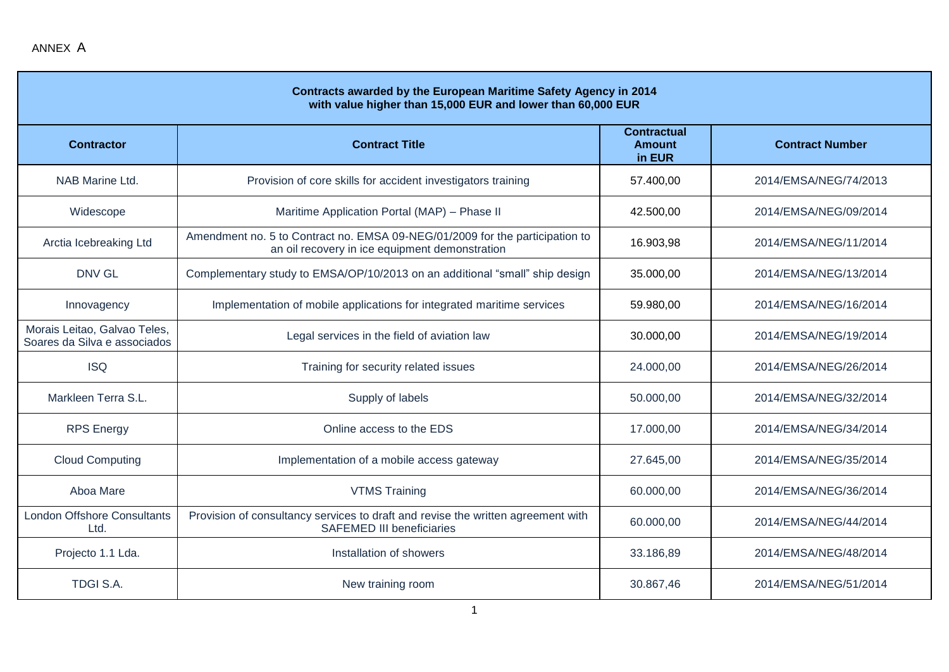| Contracts awarded by the European Maritime Safety Agency in 2014<br>with value higher than 15,000 EUR and lower than 60,000 EUR |                                                                                                                                |                                               |                        |  |
|---------------------------------------------------------------------------------------------------------------------------------|--------------------------------------------------------------------------------------------------------------------------------|-----------------------------------------------|------------------------|--|
| <b>Contractor</b>                                                                                                               | <b>Contract Title</b>                                                                                                          | <b>Contractual</b><br><b>Amount</b><br>in EUR | <b>Contract Number</b> |  |
| NAB Marine Ltd.                                                                                                                 | Provision of core skills for accident investigators training                                                                   | 57.400,00                                     | 2014/EMSA/NEG/74/2013  |  |
| Widescope                                                                                                                       | Maritime Application Portal (MAP) - Phase II                                                                                   | 42.500,00                                     | 2014/EMSA/NEG/09/2014  |  |
| Arctia Icebreaking Ltd                                                                                                          | Amendment no. 5 to Contract no. EMSA 09-NEG/01/2009 for the participation to<br>an oil recovery in ice equipment demonstration | 16.903,98                                     | 2014/EMSA/NEG/11/2014  |  |
| <b>DNV GL</b>                                                                                                                   | Complementary study to EMSA/OP/10/2013 on an additional "small" ship design                                                    | 35.000,00                                     | 2014/EMSA/NEG/13/2014  |  |
| Innovagency                                                                                                                     | Implementation of mobile applications for integrated maritime services                                                         | 59.980,00                                     | 2014/EMSA/NEG/16/2014  |  |
| Morais Leitao, Galvao Teles,<br>Soares da Silva e associados                                                                    | Legal services in the field of aviation law                                                                                    | 30.000,00                                     | 2014/EMSA/NEG/19/2014  |  |
| <b>ISQ</b>                                                                                                                      | Training for security related issues                                                                                           | 24.000,00                                     | 2014/EMSA/NEG/26/2014  |  |
| Markleen Terra S.L.                                                                                                             | Supply of labels                                                                                                               | 50.000,00                                     | 2014/EMSA/NEG/32/2014  |  |
| <b>RPS</b> Energy                                                                                                               | Online access to the EDS                                                                                                       | 17.000,00                                     | 2014/EMSA/NEG/34/2014  |  |
| <b>Cloud Computing</b>                                                                                                          | Implementation of a mobile access gateway                                                                                      | 27.645,00                                     | 2014/EMSA/NEG/35/2014  |  |
| Aboa Mare                                                                                                                       | <b>VTMS Training</b>                                                                                                           | 60.000,00                                     | 2014/EMSA/NEG/36/2014  |  |
| <b>London Offshore Consultants</b><br>Ltd.                                                                                      | Provision of consultancy services to draft and revise the written agreement with<br><b>SAFEMED III beneficiaries</b>           | 60.000,00                                     | 2014/EMSA/NEG/44/2014  |  |
| Projecto 1.1 Lda.                                                                                                               | Installation of showers                                                                                                        | 33.186,89                                     | 2014/EMSA/NEG/48/2014  |  |
| <b>TDGI S.A.</b>                                                                                                                | New training room                                                                                                              | 30.867,46                                     | 2014/EMSA/NEG/51/2014  |  |